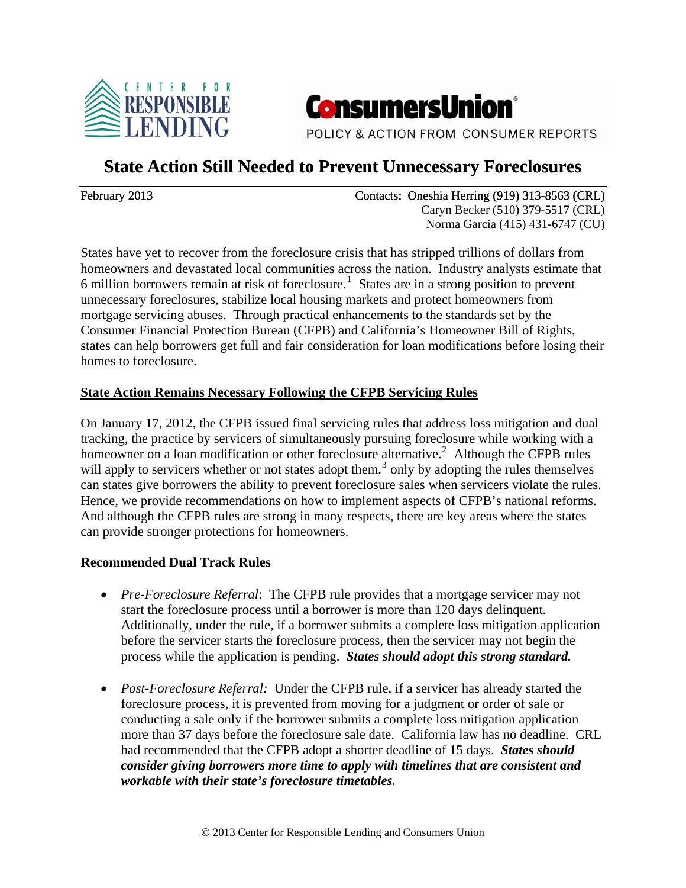



POLICY & ACTION FROM CONSUMER REPORTS

## **State Action Still Needed to Prevent Unnecessary Foreclosures**

February 2013 Contacts: Oneshia Herring (919) 313-8563 (CRL) Caryn Becker (510) 379-5517 (CRL) Norma Garcia (415) 431-6747 (CU)

States have yet to recover from the foreclosure crisis that has stripped trillions of dollars from homeowners and devastated local communities across the nation. Industry analysts estimate that 6 million borrowers remain at risk of foreclosure.<sup>[1](#page-1-0)</sup> States are in a strong position to prevent unnecessary foreclosures, stabilize local housing markets and protect homeowners from mortgage servicing abuses. Through practical enhancements to the standards set by the Consumer Financial Protection Bureau (CFPB) and California's Homeowner Bill of Rights, states can help borrowers get full and fair consideration for loan modifications before losing their homes to foreclosure.

## **State Action Remains Necessary Following the CFPB Servicing Rules**

On January 17, 2012, the CFPB issued final servicing rules that address loss mitigation and dual tracking, the practice by servicers of simultaneously pursuing foreclosure while working with a homeowner on a loan modification or other foreclosure alternative.<sup>[2](#page-1-1)</sup> Although the CFPB rules will apply to servicers whether or not states adopt them, $3$  only by adopting the rules themselves can states give borrowers the ability to prevent foreclosure sales when servicers violate the rules. Hence, we provide recommendations on how to implement aspects of CFPB's national reforms. And although the CFPB rules are strong in many respects, there are key areas where the states can provide stronger protections for homeowners.

## **Recommended Dual Track Rules**

- *Pre-Foreclosure Referral*: The CFPB rule provides that a mortgage servicer may not start the foreclosure process until a borrower is more than 120 days delinquent. Additionally, under the rule, if a borrower submits a complete loss mitigation application before the servicer starts the foreclosure process, then the servicer may not begin the process while the application is pending. *States should adopt this strong standard.*
- *Post-Foreclosure Referral:* Under the CFPB rule, if a servicer has already started the foreclosure process, it is prevented from moving for a judgment or order of sale or conducting a sale only if the borrower submits a complete loss mitigation application more than 37 days before the foreclosure sale date. California law has no deadline. CRL had recommended that the CFPB adopt a shorter deadline of 15 days. *States should consider giving borrowers more time to apply with timelines that are consistent and workable with their state's foreclosure timetables.*